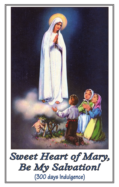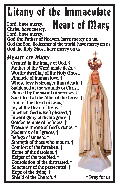# $\overline{\phantom{a}}$ ľ **Heart of Mary**

Lord, have mercy. Christ, have mercy. Lord, have mercy.

God the Father of Heaven, have mercy on us. God the Son, Redeemer of the world, have mercy on us. God the Holy Ghost, have mercy on us.

### Heart of Mary,

Created in the image of God, † Mother of the Word made flesh, † Worthy dwelling of the Holy Ghost, † Pinnacle of human love, † Whose love is stronger than death, † Saddened at the wounds of Christ, † Pierced by the sword of sorrows, † Sacrificed at the Altar of the Cross, † Fruit of the Heart of Jesus, † Joy of the Heart of Jesus, † In which God is well pleased, † Inward glory of divine grace, † Golden temple of holiness, † Treasure throne of God's riches, † Mediatrix of all graces, † Refuge of sinners, † Strength of those who mourn, † Comfort of the forsaken, † Home of the desolate, † Helper of the troubled, † Consolation of the distressed, † Sanctuary of the persecuted, † Hope of the dying, † Shield of the Church, † † Pray for us.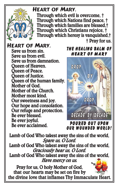

## Heart of Mary,

Through which evil is overcome, † Through which Nations find peace, † Through which families are blessed,† Through which Christians rejoice, † Through which heresy is vanquished,† † Pray for us.

Heart of Mary, Save us from sin. Save us from evil. Save us from damnation. Queen of Heaven. Queen of Peace. Queen of Justice. Queen of the human family. Mother of God. Mother of the Church. Mother most kind. Our sweetness and joy. Our hope and consolation. Our refuge and protection. Be ever blessed. Be ever joyful. Be ever acclaimed.

#### THE HEALING BALM OF **HEART OF MARY**



POURED OUT UPON **OUR WOUNDED WORLD!** 

Lamb of God Who takest away the sins of the world, Spare us, O Lord. Lamb of God Who takest away the sins of the world, Graciously hear us, O Lord. Lamb of God Who takest away the sins of the world, Have mercy on us. Pray for us, O holy Mother of God,

that our hearts may be set on fire by the divine love that inflames Thy Immaculate Heart.